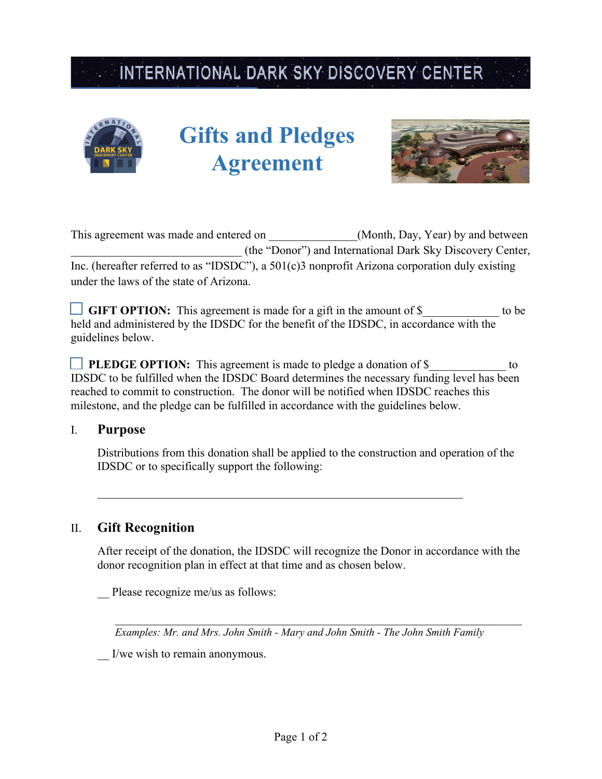# INTERNATIONAL DARK SKY DISCOVERY CENTER



# **Gifts and Pledges Agreement**



| This agreement was made and entered on  | (Month, Day, Year) by and between                                                                |  |  |
|-----------------------------------------|--------------------------------------------------------------------------------------------------|--|--|
|                                         | (the "Donor") and International Dark Sky Discovery Center,                                       |  |  |
|                                         | Inc. (hereafter referred to as "IDSDC"), a $501(c)3$ nonprofit Arizona corporation duly existing |  |  |
| under the laws of the state of Arizona. |                                                                                                  |  |  |

GIFT OPTION: This agreement is made for a gift in the amount of \$ to be held and administered by the IDSDC for the benefit of the IDSDC, in accordance with the guidelines below.

**PLEDGE OPTION:** This agreement is made to pledge a donation of \$ IDSDC to be fulfilled when the IDSDC Board determines the necessary funding level has been reached to commit to construction. The donor will be notified when IDSDC reaches this milestone, and the pledge can be fulfilled in accordance with the guidelines below.

### I. **Purpose**

Distributions from this donation shall be applied to the construction and operation of the IDSDC or to specifically support the following:

## II. **Gift Recognition**

After receipt of the donation, the IDSDC will recognize the Donor in accordance with the donor recognition plan in effect at that time and as chosen below.

Please recognize me/us as follows:

*Examples: Mr. and Mrs. John Smith - Mary and John Smith - The John Smith Family* 

 $\mathcal{L}_\mathcal{L} = \mathcal{L}_\mathcal{L} = \mathcal{L}_\mathcal{L} = \mathcal{L}_\mathcal{L} = \mathcal{L}_\mathcal{L} = \mathcal{L}_\mathcal{L} = \mathcal{L}_\mathcal{L} = \mathcal{L}_\mathcal{L} = \mathcal{L}_\mathcal{L} = \mathcal{L}_\mathcal{L} = \mathcal{L}_\mathcal{L} = \mathcal{L}_\mathcal{L} = \mathcal{L}_\mathcal{L} = \mathcal{L}_\mathcal{L} = \mathcal{L}_\mathcal{L} = \mathcal{L}_\mathcal{L} = \mathcal{L}_\mathcal{L}$ 

\_\_ I/we wish to remain anonymous.